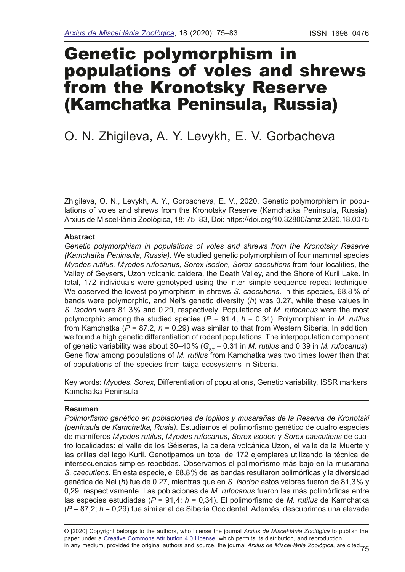# Genetic polymorphism in populations of voles and shrews from the Kronotsky Reserve (Kamchatka Peninsula, Russia)

# O. N. Zhigileva, A. Y. Levykh, E. V. Gorbacheva

Zhigileva, O. N., Levykh, A. Y., Gorbacheva, E. V., 2020. Genetic polymorphism in populations of voles and shrews from the Kronotsky Reserve (Kamchatka Peninsula, Russia). Arxius de Miscel·lània Zoològica, 18: 75–83, Doi: https://doi.org/10.32800/amz.2020.18.0075

## **Abstract**

Genetic polymorphism in populations of voles and shrews from the Kronotsky Reserve *(Kamchatka Peninsula, Russia).* We studied genetic polymorphism of four mammal species *Myodes rutilus, Myodes rufocanus, Sorex isodon, Sorex caecutiens* from four localities, the Valley of Geysers, Uzon volcanic caldera, the Death Valley, and the Shore of Kuril Lake. In total, 172 individuals were genotyped using the inter–simple sequence repeat technique. We observed the lowest polymorphism in shrews *S. caecutiens*. In this species, 68.8 % of bands were polymorphic, and Nei's genetic diversity (*h*) was 0.27, while these values in *S. isodon* were 81.3% and 0.29, respectively. Populations of *M. rufocanus* were the most polymorphic among the studied species (*P* = 91.4, *h* = 0.34). Polymorphism in *M. rutilus* from Kamchatka (*P* = 87.2, *h* = 0.29) was similar to that from Western Siberia. In addition, we found a high genetic differentiation of rodent populations. The interpopulation component of genetic variability was about 30–40% ( $G_{ST}$  = 0.31 in *M. rutilus* and 0.39 in *M. rufocanus*). Gene flow among populations of *M. rutilus* from Kamchatka was two times lower than that of populations of the species from taiga ecosystems in Siberia.

Key words: *Myodes*, *Sorex,* Differentiation of populations, Genetic variability, ISSR markers, Kamchatka Peninsula

#### **Resumen**

*Polimorfsmo genético en poblaciones de topillos y musarañas de la Reserva de Kronotski (península de Kamchatka, Rusia).* Estudiamos el polimorfsmo genético de cuatro especies de mamíferos *Myodes rutilus*, *Myodes rufocanus*, *Sorex isodon* y *Sorex caecutiens* de cuatro localidades: el valle de los Géiseres, la caldera volcánica Uzon, el valle de la Muerte y las orillas del lago Kuril. Genotipamos un total de 172 ejemplares utilizando la técnica de intersecuencias simples repetidas. Observamos el polimorfsmo más bajo en la musaraña *S. caecutiens*. En esta especie, el 68,8% de las bandas resultaron polimórfcas y la diversidad genética de Nei (*h*) fue de 0,27, mientras que en *S. isodon* estos valores fueron de 81,3% y 0,29, respectivamente. Las poblaciones de *M. rufocanus* fueron las más polimórfcas entre las especies estudiadas (*P* = 91,4; *h* = 0,34). El polimorfsmo de *M. rutilus* de Kamchatka (*P* = 87,2; *h* = 0,29) fue similar al de Siberia Occidental. Además, descubrimos una elevada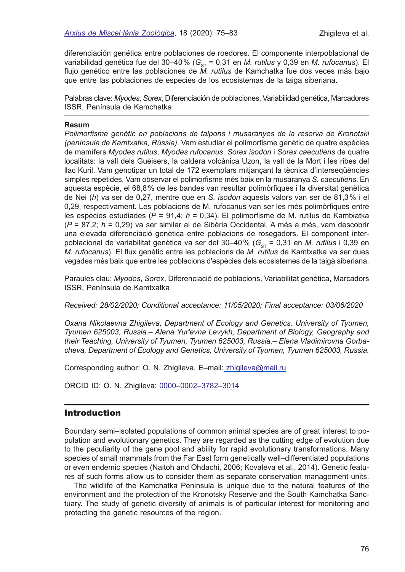diferenciación genética entre poblaciones de roedores. El componente interpoblacional de variabilidad genética fue del 30–40% (G<sub>ST</sub> = 0,31 en *M. rutilus* y 0,39 en *M. rufocanus*). El fujo genético entre las poblaciones de *M. rutilus* de Kamchatka fue dos veces más bajo que entre las poblaciones de especies de los ecosistemas de la taiga siberiana.

Palabras clave: *Myodes*, *Sorex*, Diferenciación de poblaciones, Variabilidad genética, Marcadores ISSR, Península de Kamchatka

#### **Resum**

*Polimorfsme genètic en poblacions de talpons i musaranyes de la reserva de Kronotski (península de Kamtxatka, Rússia).* Vam estudiar el polimorfsme genètic de quatre espècies de mamífers *Myodes rutilus*, *Myodes rufocanus*, *Sorex isodon* i *Sorex caecutiens* de quatre localitats: la vall dels Guèisers, la caldera volcànica Uzon, la vall de la Mort i les ribes del llac Kuril. Vam genotipar un total de 172 exemplars mitjançant la tècnica d'interseqüències simples repetides. Vam observar el polimorfsme més baix en la musaranya *S. caecutiens*. En aquesta espècie, el 68,8% de les bandes van resultar polimòrfques i la diversitat genètica de Nei (*h*) va ser de 0,27, mentre que en *S. isodon* aquests valors van ser de 81,3% i el 0,29, respectivament. Les poblacions de M. rufocanus van ser les més polimòrfques entre les espècies estudiades (*P* = 91,4; *h* = 0,34). El polimorfsme de M. rutilus de Kamtxatka (*P* = 87,2; *h* = 0,29) va ser similar al de Sibèria Occidental. A més a més, vam descobrir una elevada diferenciació genètica entre poblacions de rosegadors. El component interpoblacional de variabilitat genètica va ser del 30–40% (G<sub>ST</sub> = 0,31 en *M. rutilus* i 0,39 en *M. rufocanus*). El fux genètic entre les poblacions de *M. rutilus* de Kamtxatka va ser dues vegades més baix que entre les poblacions d'espècies dels ecosistemes de la taigà siberiana.

Paraules clau: *Myodes*, *Sorex*, Diferenciació de poblacions, Variabilitat genètica, Marcadors ISSR, Península de Kamtxatka

*Received: 28/02/2020; Conditional acceptance: 11/05/2020; Final acceptance: 03/06/2020*

*Oxana Nikolaevna Zhigileva, Department of Ecology and Genetics, University of Tyumen, Tyumen 625003, Russia.– Alena Yur'evna Levykh, Department of Biology, Geography and their Teaching, University of Tyumen, Tyumen 625003, Russia.– Elena Vladimirovna Gorbacheva, Department of Ecology and Genetics, University of Tyumen, Tyumen 625003, Russia.* 

Corresponding author: O. N. Zhigileva. E-mail: [zhigileva@mail.ru](mailto:zhigileva@mail.ru)

ORCID ID: O. N. Zhigileva: [0000–0002–3782–3014](https://orcid.org/0000-0002-3782-3014)

# Introduction

Boundary semi–isolated populations of common animal species are of great interest to population and evolutionary genetics. They are regarded as the cutting edge of evolution due to the peculiarity of the gene pool and ability for rapid evolutionary transformations. Many species of small mammals from the Far East form genetically well–differentiated populations or even endemic species (Naitoh and Ohdachi, 2006; Kovaleva et al., 2014). Genetic features of such forms allow us to consider them as separate conservation management units.

The wildlife of the Kamchatka Peninsula is unique due to the natural features of the environment and the protection of the Kronotsky Reserve and the South Kamchatka Sanctuary. The study of genetic diversity of animals is of particular interest for monitoring and protecting the genetic resources of the region.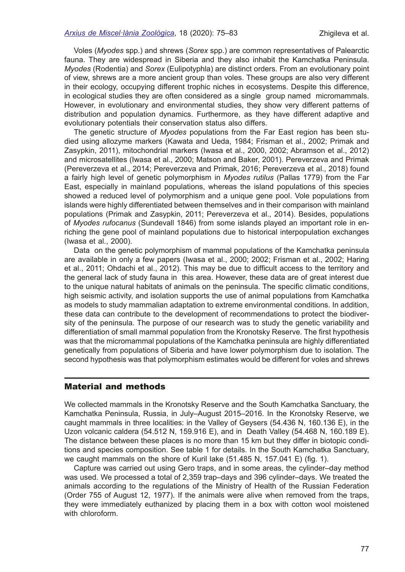#### *[Arxius de Miscel·lània Zoològica](http://amz.museucienciesjournals.cat)*, 18 (2020): 75–83 Zhigileva et al.

Voles (*Myodes* spp*.*) and shrews (*Sorex* spp.) are common representatives of Palearctic fauna. They are widespread in Siberia and they also inhabit the Kamchatka Peninsula. *Myodes* (Rodentia) and *Sorex* (Eulipotyphla) are distinct orders. From an evolutionary point of view, shrews are a more ancient group than voles. These groups are also very different in their ecology, occupying different trophic niches in ecosystems. Despite this difference, in ecological studies they are often considered as a single group named micromammals. However, in evolutionary and environmental studies, they show very different patterns of distribution and population dynamics. Furthermore, as they have different adaptive and evolutionary potentials their conservation status also differs.

The genetic structure of *Myodes* populations from the Far East region has been studied using allozyme markers (Kawata and Ueda, 1984; Frisman et al., 2002; Primak and Zasypkin, 2011), mitochondrial markers (Iwasa et al., 2000, 2002; Abramson et al., 2012) and microsatellites (Iwasa et al., 2000; Matson and Baker, 2001). Pereverzeva and Primak (Pereverzeva et al., 2014; Pereverzeva and Primak, 2016; Pereverzeva et al., 2018) found a fairly high level of genetic polymorphism in *Myodes rutilus* (Pallas 1779) from the Far East, especially in mainland populations, whereas the island populations of this species showed a reduced level of polymorphism and a unique gene pool. Vole populations from islands were highly differentiated between themselves and in their comparison with mainland populations (Primak and Zasypkin, 2011; Pereverzeva et al., 2014). Besides, populations of *Myodes rufocanus* (Sundevall 1846) from some islands played an important role in enriching the gene pool of mainland populations due to historical interpopulation exchanges (Iwasa et al., 2000).

Data on the genetic polymorphism of mammal populations of the Kamchatka peninsula are available in only a few papers (Iwasa et al., 2000; 2002; Frisman et al., 2002; Haring et al., 2011; Ohdachi et al., 2012). This may be due to diffcult access to the territory and the general lack of study fauna in this area. However, these data are of great interest due to the unique natural habitats of animals on the peninsula. The specifc climatic conditions, high seismic activity, and isolation supports the use of animal populations from Kamchatka as models to study mammalian adaptation to extreme environmental conditions. In addition, these data can contribute to the development of recommendations to protect the biodiversity of the peninsula. The purpose of our research was to study the genetic variability and differentiation of small mammal population from the Kronotsky Reserve. The frst hypothesis was that the micromammal populations of the Kamchatka peninsula are highly differentiated genetically from populations of Siberia and have lower polymorphism due to isolation. The second hypothesis was that polymorphism estimates would be different for voles and shrews

# Material and methods

We collected mammals in the Kronotsky Reserve and the South Kamchatka Sanctuary, the Kamchatka Peninsula, Russia, in July–August 2015–2016. In the Kronotsky Reserve, we caught mammals in three localities: in the Valley of Geysers (54.436 N, 160.136 E), in the Uzon volcanic caldera (54.512 N, 159.916 E), and in Death Valley (54.468 N, 160.189 E). The distance between these places is no more than 15 km but they differ in biotopic conditions and species composition. See table 1 for details. In the South Kamchatka Sanctuary, we caught mammals on the shore of Kuril lake (51.485 N, 157.041 E) (fig. 1).

Capture was carried out using Gero traps, and in some areas, the cylinder–day method was used. We processed a total of 2,359 trap–days and 396 cylinder–days. We treated the animals according to the regulations of the Ministry of Health of the Russian Federation (Order 755 of August 12, 1977). If the animals were alive when removed from the traps, they were immediately euthanized by placing them in a box with cotton wool moistened with chloroform.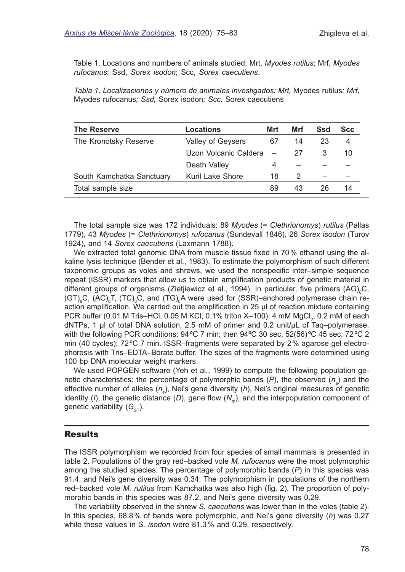Table 1. Locations and numbers of animals studied: Mrt, *Myodes rutilus*; Mrf, *Myodes rufocanus*; Ssd, *Sorex isodon*; Scc, *Sorex caecutiens*.

*Tabla 1. Localizaciones y número de animales investigados: Mrt,* Myodes rutilus*; Mrf,*  Myodes rufocanus*; Ssd,* Sorex isodon*; Scc,* Sorex caecutiens

| <b>The Reserve</b>        | Locations             | Mrt | Mrf | Ssd | <b>Scc</b> |
|---------------------------|-----------------------|-----|-----|-----|------------|
| The Kronotsky Reserve     | Valley of Geysers     | 67  | 14  | 23  | 4          |
|                           | Uzon Volcanic Caldera |     | 27  | З   | 10         |
|                           | Death Valley          | 4   |     |     |            |
| South Kamchatka Sanctuary | Kuril Lake Shore      | 18  |     |     |            |
| Total sample size         |                       | 89  | 43  | 26  | 14         |

The total sample size was 172 individuals: 89 *Myodes* (= *Clethrionomys*) *rutilus* (Pallas 1779), 43 *Myodes* (= *Clethrionomys*) *rufocanus* (Sundevall 1846), 26 *Sorex isodon* (Turov 1924)*,* and 14 *Sorex caecutiens* (Laxmann 1788).

We extracted total genomic DNA from muscle tissue fixed in 70% ethanol using the alkaline lysis technique (Bender et al., 1983). To estimate the polymorphism of such different taxonomic groups as voles and shrews, we used the nonspecifc inter–simple sequence repeat (ISSR) markers that allow us to obtain amplifcation products of genetic material in different groups of organisms (Zietjiewicz et al., 1994). In particular, five primers  $(\text{AG})_{8}$ C, (GT) $_{8}$ C, (AC) $_{8}$ T, (TC) $_{8}$ C, and (TG) $_{8}$ A were used for (SSR)–anchored polymerase chain reaction amplifcation. We carried out the amplifcation in 25 μl of reaction mixture containing PCR buffer (0.01 M Tris–HCl, 0.05 M KCl, 0.1% triton X–100), 4 mM MgCl $_2$ , 0.2 mM of each dNTPs, 1 μl of total DNA solution, 2.5 mM of primer and 0.2 unit/μL of Taq–polymerase, with the following PCR conditions: 94°C 7 min; then 94°C 30 sec, 52(56)°C 45 sec, 72°C 2 min (40 cycles); 72ºC 7 min. ISSR–fragments were separated by 2% agarose gel electrophoresis with Tris–EDTA–Borate buffer. The sizes of the fragments were determined using 100 bp DNA molecular weight markers.

We used POPGEN software (Yeh et al., 1999) to compute the following population genetic characteristics: the percentage of polymorphic bands (*P*), the observed (*n<sub>a</sub>*) and the effective number of alleles (*n<sub>e</sub>*), Nei's gene diversity (*h*), Nei's original measures of genetic identity  $(1)$ , the genetic distance  $(D)$ , gene flow  $(N<sub>m</sub>)$ , and the interpopulation component of genetic variability (G<sub>ST</sub>).

#### Results

The ISSR polymorphism we recorded from four species of small mammals is presented in table 2. Populations of the gray red–backed vole *M. rufocanus* were the most polymorphic among the studied species. The percentage of polymorphic bands (*Р*) in this species was 91.4, and Nei's gene diversity was 0.34. The polymorphism in populations of the northern red–backed vole *M. rutilus* from Kamchatka was also high (fg. 2). The proportion of polymorphic bands in this species was 87.2, and Nei's gene diversity was 0.29.

The variability observed in the shrew *S. caecutiens* was lower than in the voles (table 2). In this species, 68.8% of bands were polymorphic, and Nei's gene diversity (*h*) was 0.27 while these values in *S. isodon* were 81.3% and 0.29, respectively.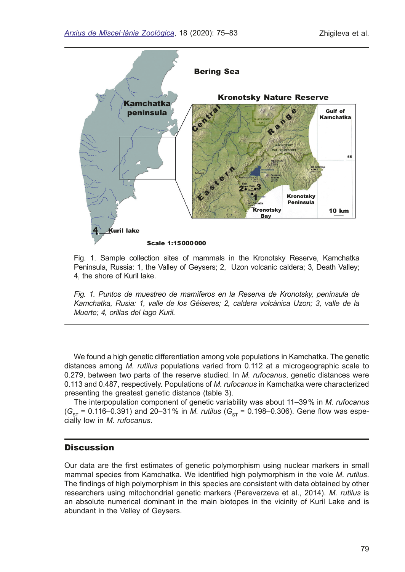

Fig. 1. Sample collection sites of mammals in the Kronotsky Reserve, Kamchatka Peninsula, Russia: 1, the Valley of Geysers; 2, Uzon volcanic caldera; 3, Death Valley; 4, the shore of Kuril lake.

*Fig. 1. Puntos de muestreo de mamíferos en la Reserva de Kronotsky, península de Kamchatka, Rusia: 1, valle de los Géiseres; 2, caldera volcánica Uzon; 3, valle de la Muerte; 4, orillas del lago Kuril.*

We found a high genetic differentiation among vole populations in Kamchatka. The genetic distances among *M. rutilus* populations varied from 0.112 at a microgeographic scale to 0.279, between two parts of the reserve studied. In *M. rufocanus*, genetic distances were 0.113 and 0.487, respectively. Populations of *M. rufocanus* in Kamchatka were characterized presenting the greatest genetic distance (table 3).

The interpopulation component of genetic variability was about 11–39% in *M. rufocanus*   $(G_{ST} = 0.116 - 0.391)$  and 20-31% in *M. rutilus* ( $G_{ST} = 0.198 - 0.306$ ). Gene flow was especially low in *M. rufocanus*.

# **Discussion**

Our data are the frst estimates of genetic polymorphism using nuclear markers in small mammal species from Kamchatka. We identifed high polymorphism in the vole *M. rutilus*. The fndings of high polymorphism in this species are consistent with data obtained by other researchers using mitochondrial genetic markers (Pereverzeva et al., 2014). *M. rutilus* is an absolute numerical dominant in the main biotopes in the vicinity of Kuril Lake and is abundant in the Valley of Geysers.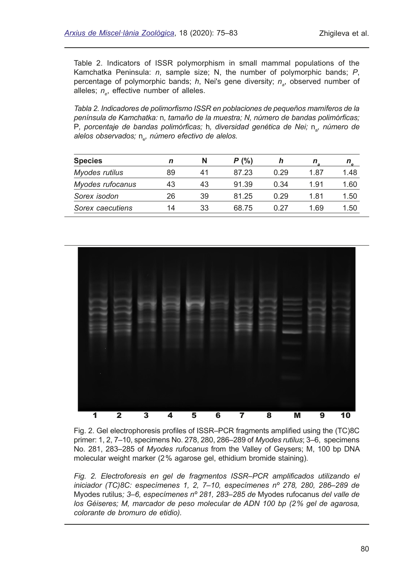Table 2. Indicators of ISSR polymorphism in small mammal populations of the Kamchatka Peninsula: *n*, sample size; N, the number of polymorphic bands; *Р*, percentage of polymorphic bands; *h*, Nei's gene diversity; *n<sub>a</sub>*, observed number of alleles;  $n_{e}$ , effective number of alleles.

*Tabla 2. Indicadores de polimorfsmo ISSR en poblaciones de pequeños mamíferos de la península de Kamchatka:* n*, tamaño de la muestra; N, número de bandas polimórfcas;*  Р, porcentaje de bandas polimórficas; h, diversidad genética de Nei; n<sub>a</sub>, número de alelos observados; n<sub>e</sub>, número efectivo de alelos.

| <b>Species</b>   |    | N  | P(% ) |      |      |      |
|------------------|----|----|-------|------|------|------|
| Myodes rutilus   | 89 | 41 | 87.23 | 0.29 | 1.87 | 1.48 |
| Myodes rufocanus | 43 | 43 | 91.39 | 0.34 | 1.91 | 1.60 |
| Sorex isodon     | 26 | 39 | 81.25 | 0.29 | 1.81 | 1.50 |
| Sorex caecutiens | 14 | 33 | 68.75 | በ 27 | 1.69 | 1.50 |



Fig. 2. Gel electrophoresis profles of ISSR–PCR fragments amplifed using the (TC)8C primer: 1, 2, 7–10, specimens No. 278, 280, 286–289 of *Myodes rutilus*; 3–6, specimens No. 281, 283–285 of *Myodes rufocanus* from the Valley of Geysers; M, 100 bp DNA molecular weight marker (2% agarose gel, ethidium bromide staining).

*Fig. 2. Electroforesis en gel de fragmentos ISSR*–*PCR amplifcados utilizando el iniciador (TC)8C: especímenes 1, 2, 7–10, especímenes nº 278, 280, 286–289 de*  Myodes rutilus*; 3–6, especímenes nº 281, 283–285 de* Myodes rufocanus *del valle de los Géiseres; M, marcador de peso molecular de ADN 100 bp (2% gel de agarosa, colorante de bromuro de etidio).*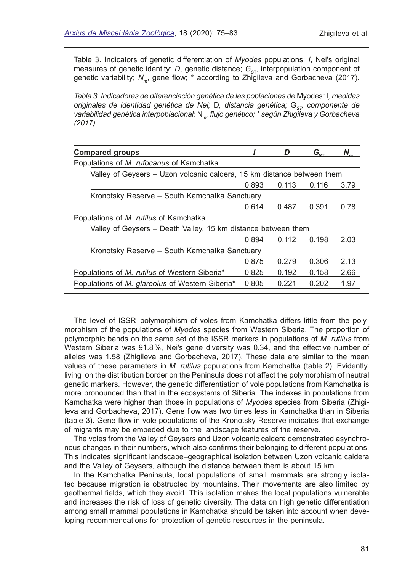Table 3. Indicators of genetic differentiation of *Myodes* populations: *I*, Nei's original measures of genetic identity; *D*, genetic distance;  $G_{ST}$  interpopulation component of genetic variability; N<sub>m</sub>, gene flow; \* according to Zhigileva and Gorbacheva (2017).

*Tabla 3. Indicadores de diferenciación genética de las poblaciones de* Myodes*:* I*, medidas originales de identidad genética de Nei; D, distancia genética; G<sub>ST</sub>, componente de variabilidad genética interpoblacional;* N*m, fujo genético; \* según Zhigileva y Gorbacheva (2017).*

|                                                                        | מ     | $G_{\text{s}t}$ |      |  |  |  |  |  |
|------------------------------------------------------------------------|-------|-----------------|------|--|--|--|--|--|
|                                                                        |       |                 |      |  |  |  |  |  |
| Valley of Geysers - Uzon volcanic caldera, 15 km distance between them |       |                 |      |  |  |  |  |  |
| 0.893                                                                  | 0.113 | 0.116           | 3.79 |  |  |  |  |  |
| Kronotsky Reserve – South Kamchatka Sanctuary                          |       |                 |      |  |  |  |  |  |
| 0.614                                                                  | 0.487 | 0.391           | 0.78 |  |  |  |  |  |
|                                                                        |       |                 |      |  |  |  |  |  |
| Valley of Geysers – Death Valley, 15 km distance between them          |       |                 |      |  |  |  |  |  |
| 0.894                                                                  | 0.112 | 0.198           | 2.03 |  |  |  |  |  |
| Kronotsky Reserve - South Kamchatka Sanctuary                          |       |                 |      |  |  |  |  |  |
| 0.875                                                                  | 0.279 | 0.306           | 2.13 |  |  |  |  |  |
| 0.825                                                                  | 0.192 | 0.158           | 2.66 |  |  |  |  |  |
| 0.805                                                                  | 0.221 | 0.202           | 1.97 |  |  |  |  |  |
|                                                                        |       |                 |      |  |  |  |  |  |

The level of ISSR–polymorphism of voles from Kamchatka differs little from the polymorphism of the populations of *Myodes* species from Western Siberia. The proportion of polymorphic bands on the same set of the ISSR markers in populations of *M. rutilus* from Western Siberia was 91.8%, Nei's gene diversity was 0.34, and the effective number of alleles was 1.58 (Zhigileva and Gorbacheva, 2017). These data are similar to the mean values of these parameters in *M. rutilus* populations from Kamchatka (table 2). Evidently, living on the distribution border on the Peninsula does not affect the polymorphism of neutral genetic markers. However, the genetic differentiation of vole populations from Kamchatka is more pronounced than that in the ecosystems of Siberia. The indexes in populations from Kamchatka were higher than those in populations of *Myodes* species from Siberia (Zhigileva and Gorbacheva, 2017). Gene fow was two times less in Kamchatka than in Siberia (table 3). Gene fow in vole populations of the Kronotsky Reserve indicates that exchange of migrants may be empeded due to the landscape features of the reserve.

The voles from the Valley of Geysers and Uzon volcanic caldera demonstrated asynchronous changes in their numbers, which also confrms their belonging to different populations. This indicates signifcant landscape–geographical isolation between Uzon volcanic caldera and the Valley of Geysers, although the distance between them is about 15 km.

In the Kamchatka Peninsula, local populations of small mammals are strongly isolated because migration is obstructed by mountains. Their movements are also limited by geothermal felds, which they avoid. This isolation makes the local populations vulnerable and increases the risk of loss of genetic diversity. The data on high genetic differentiation among small mammal populations in Kamchatka should be taken into account when developing recommendations for protection of genetic resources in the peninsula.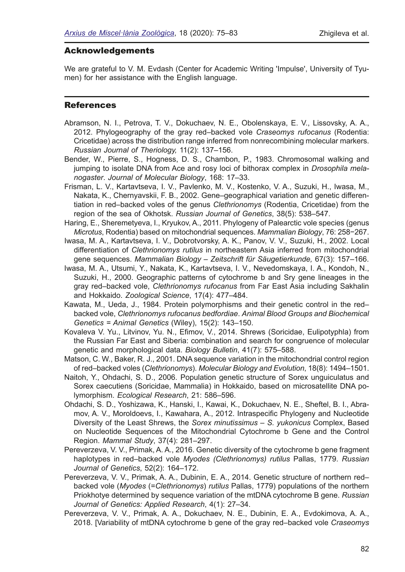# Acknowledgements

We are grateful to V. M. Evdash (Center for Academic Writing 'Impulse', University of Tyumen) for her assistance with the English language.

# **References**

- Abramson, N. I., Petrova, T. V., Dokuchaev, N. E., Obolenskaya, E. V., Lissovsky, A. A., 2012. Phylogeography of the gray red–backed vole *Craseomys rufocanus* (Rodentia: Cricetidae) across the distribution range inferred from nonrecombining molecular markers. *[Russian Journal of Theriology](https://istina.msu.ru/journals/289761/),* 11(2): 137–156.
- Bender, W., Pierre, S., Hogness, D. S., Chambon, P., 1983. Chromosomal walking and jumping to isolate DNA from Ace and rosy loci of bithorax complex in *Drosophila melanogaster*. *Journal of Molecular Biology*, 168: 17–33.
- Frisman, L. V., Kartavtseva, I. V., Pavlenko, M. V., Kostenko, V. A., Suzuki, H., Iwasa, M., Nakata, K., Chernyavskii, F. B., 2002. Gene–geographical variation and genetic differentiation in red–backed voles of the genus *Clethrionomys* (Rodentia, Cricetidae) from the region of the sea of Okhotsk. *Russian Journal of Genetics*, 38(5): 538–547.
- Haring, E., Sheremetyeva, I., Kryukov, A., 2011. Phylogeny of Palearctic vole species (genus *Microtus*, Rodentia) based on mitochondrial sequences. *Mammalian Biology*, 76: 258−267.
- Iwasa, M. A., Kartavtseva, I. V., Dobrotvorsky, A. K., Panov, V. V., Suzuki, H., 2002. Local differentiation of *Clethrionomys rutilus* in northeastern Asia inferred from mitochondrial gene sequences. *Mammalian Biology – Zeitschrift für Säugetierkunde,* 67(3): 157–166.
- Iwasa, M. A., Utsumi, Y., Nakata, K., Kartavtseva, I. V., Nevedomskaya, I. A., Kondoh, N., Suzuki, H., 2000. Geographic patterns of cytochrome b and Sry gene lineages in the gray red–backed vole, *Clethrionomys rufocanus* from Far East Asia including Sakhalin and Hokkaido. *Zoological Science*, 17(4): 477–484.
- Kawata, M., Ueda, J., 1984. Protein polymorphisms and their genetic control in the red– backed vole, *Clethrionomys rufocanus bedfordiae*. *Animal Blood Groups and Biochemical Genetics = Animal Genetics* (Wiley), 15(2): 143–150.
- Kovaleva V. Yu., Litvinov, Yu. N., Efmov, V., 2014. Shrews (Soricidae, Eulipotyphla) from the Russian Far East and Siberia: combination and search for congruence of molecular genetic and morphological data. *Biology Bulletin*, 41(7): 575–588.
- Matson, C. W., Baker, R. J., 2001. DNA sequence variation in the mitochondrial control region of red–backed voles (*Clethrionomys*). *Molecular Biology and Evolution*, 18(8): 1494–1501.
- Naitoh, Y., Ohdachi, S. D., 2006. Population genetic structure of Sorex unguiculatus and Sorex caecutiens (Soricidae, Mammalia) in Hokkaido, based on microsatellite DNA polymorphism. *Ecological Research*, 21: 586–596.
- Ohdachi, S. D., Yoshizawa, K., Hanski, I., Kawai, K., Dokuchaev, N. E., Sheftel, B. I., Abramov, A. V., Moroldoevs, I., Kawahara, A., 2012. Intraspecifc Phylogeny and Nucleotide Diversity of the Least Shrews, the *Sorex minutissimus – S. yukonicus* Complex, Based on Nucleotide Sequences of the Mitochondrial Cytochrome b Gene and the Control Region. *Mammal Study*, 37(4): 281–297.
- Pereverzeva, V. V., Primak, A. A., 2016. Genetic diversity of the cytochrome b gene fragment haplotypes in red–backed vole *Myodes (Clethrionomys) rutilus* Pallas, 1779. *Russian Journal of Genetics*, 52(2): 164–172.
- Pereverzeva, V. V., Primak, A. A., Dubinin, E. A., 2014. Genetic structure of northern red– backed vole (*Myodes* (=*Clethrionomys*) *rutilus* Pallas, 1779) populations of the northern Priokhotye determined by sequence variation of the m[tD](https://doi.org/10.1134/S2079059714010079)NA cytochrome B gene. *Russian Journal of Genetics: Applied Research*, 4(1): 27–34.
- Pereverzeva, V. V., Primak, A. A., Dokuchaev, N. E., Dubinin, E. A., Evdokimova, A. A., 2018. [Variability of mtDNA cytochrome b gene of the gray red–backed vole *Craseomys*